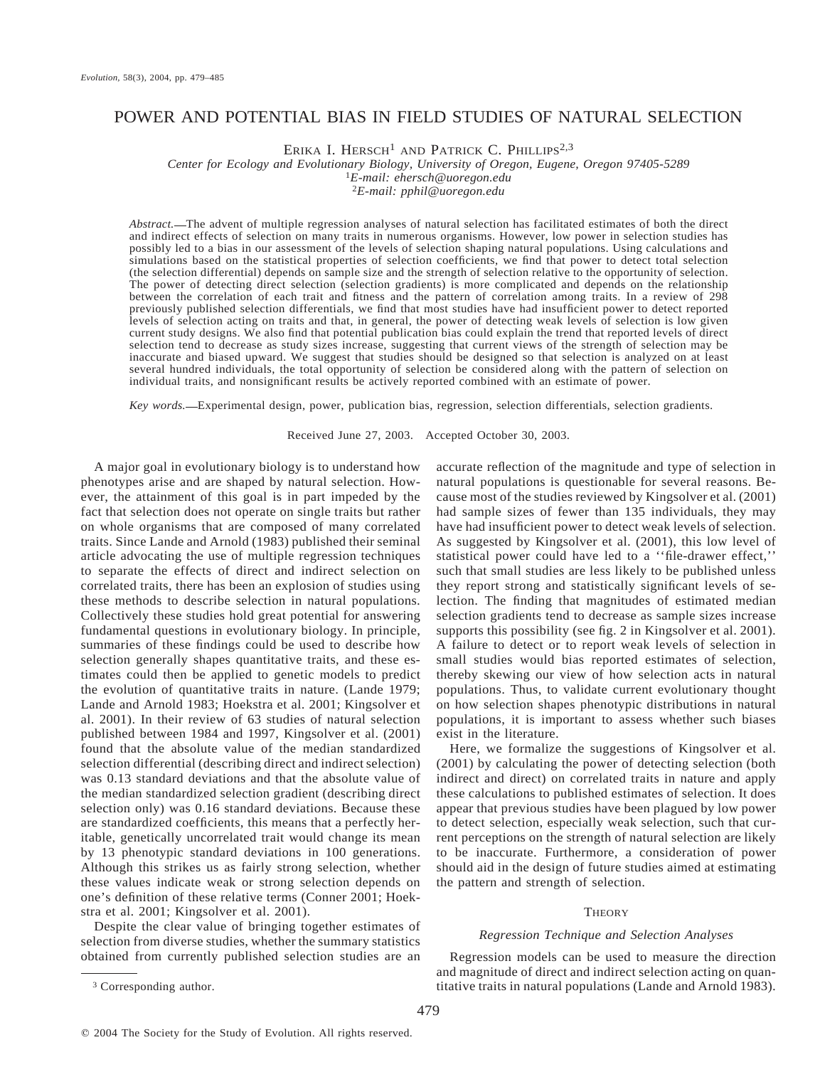# POWER AND POTENTIAL BIAS IN FIELD STUDIES OF NATURAL SELECTION

ERIKA I. HERSCH<sup>1</sup> AND PATRICK C. PHILLIPS<sup>2,3</sup>

*Center for Ecology and Evolutionary Biology, University of Oregon, Eugene, Oregon 97405-5289* <sup>1</sup>*E-mail: ehersch@uoregon.edu*

<sup>2</sup>*E-mail: pphil@uoregon.edu*

*Abstract.* The advent of multiple regression analyses of natural selection has facilitated estimates of both the direct and indirect effects of selection on many traits in numerous organisms. However, low power in selection studies has possibly led to a bias in our assessment of the levels of selection shaping natural populations. Using calculations and simulations based on the statistical properties of selection coefficients, we find that power to detect total selection (the selection differential) depends on sample size and the strength of selection relative to the opportunity of selection. The power of detecting direct selection (selection gradients) is more complicated and depends on the relationship between the correlation of each trait and fitness and the pattern of correlation among traits. In a review of 298 previously published selection differentials, we find that most studies have had insufficient power to detect reported levels of selection acting on traits and that, in general, the power of detecting weak levels of selection is low given current study designs. We also find that potential publication bias could explain the trend that reported levels of direct selection tend to decrease as study sizes increase, suggesting that current views of the strength of selection may be inaccurate and biased upward. We suggest that studies should be designed so that selection is analyzed on at least several hundred individuals, the total opportunity of selection be considered along with the pattern of selection on individual traits, and nonsignificant results be actively reported combined with an estimate of power.

*Key words.* Experimental design, power, publication bias, regression, selection differentials, selection gradients.

Received June 27, 2003. Accepted October 30, 2003.

A major goal in evolutionary biology is to understand how phenotypes arise and are shaped by natural selection. However, the attainment of this goal is in part impeded by the fact that selection does not operate on single traits but rather on whole organisms that are composed of many correlated traits. Since Lande and Arnold (1983) published their seminal article advocating the use of multiple regression techniques to separate the effects of direct and indirect selection on correlated traits, there has been an explosion of studies using these methods to describe selection in natural populations. Collectively these studies hold great potential for answering fundamental questions in evolutionary biology. In principle, summaries of these findings could be used to describe how selection generally shapes quantitative traits, and these estimates could then be applied to genetic models to predict the evolution of quantitative traits in nature. (Lande 1979; Lande and Arnold 1983; Hoekstra et al. 2001; Kingsolver et al. 2001). In their review of 63 studies of natural selection published between 1984 and 1997, Kingsolver et al. (2001) found that the absolute value of the median standardized selection differential (describing direct and indirect selection) was 0.13 standard deviations and that the absolute value of the median standardized selection gradient (describing direct selection only) was 0.16 standard deviations. Because these are standardized coefficients, this means that a perfectly heritable, genetically uncorrelated trait would change its mean by 13 phenotypic standard deviations in 100 generations. Although this strikes us as fairly strong selection, whether these values indicate weak or strong selection depends on one's definition of these relative terms (Conner 2001; Hoekstra et al. 2001; Kingsolver et al. 2001).

Despite the clear value of bringing together estimates of selection from diverse studies, whether the summary statistics obtained from currently published selection studies are an accurate reflection of the magnitude and type of selection in natural populations is questionable for several reasons. Because most of the studies reviewed by Kingsolver et al. (2001) had sample sizes of fewer than 135 individuals, they may have had insufficient power to detect weak levels of selection. As suggested by Kingsolver et al. (2001), this low level of statistical power could have led to a ''file-drawer effect,'' such that small studies are less likely to be published unless they report strong and statistically significant levels of selection. The finding that magnitudes of estimated median selection gradients tend to decrease as sample sizes increase supports this possibility (see fig. 2 in Kingsolver et al. 2001). A failure to detect or to report weak levels of selection in small studies would bias reported estimates of selection, thereby skewing our view of how selection acts in natural populations. Thus, to validate current evolutionary thought on how selection shapes phenotypic distributions in natural populations, it is important to assess whether such biases exist in the literature.

Here, we formalize the suggestions of Kingsolver et al. (2001) by calculating the power of detecting selection (both indirect and direct) on correlated traits in nature and apply these calculations to published estimates of selection. It does appear that previous studies have been plagued by low power to detect selection, especially weak selection, such that current perceptions on the strength of natural selection are likely to be inaccurate. Furthermore, a consideration of power should aid in the design of future studies aimed at estimating the pattern and strength of selection.

### **THEORY**

### *Regression Technique and Selection Analyses*

Regression models can be used to measure the direction and magnitude of direct and indirect selection acting on quantitative traits in natural populations (Lande and Arnold 1983).

<sup>3</sup> Corresponding author.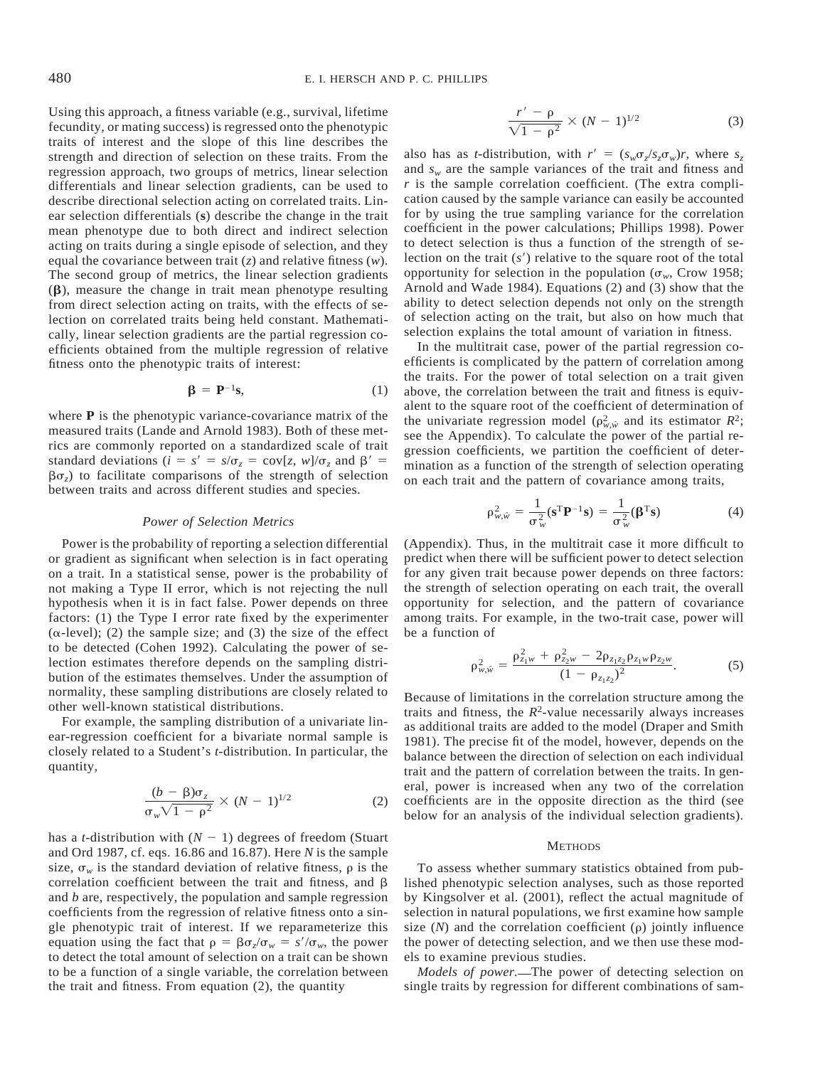Using this approach, a fitness variable (e.g., survival, lifetime fecundity, or mating success) is regressed onto the phenotypic traits of interest and the slope of this line describes the strength and direction of selection on these traits. From the regression approach, two groups of metrics, linear selection differentials and linear selection gradients, can be used to describe directional selection acting on correlated traits. Linear selection differentials (**s**) describe the change in the trait mean phenotype due to both direct and indirect selection acting on traits during a single episode of selection, and they equal the covariance between trait (*z*) and relative fitness (*w*). The second group of metrics, the linear selection gradients  $(\beta)$ , measure the change in trait mean phenotype resulting from direct selection acting on traits, with the effects of selection on correlated traits being held constant. Mathematically, linear selection gradients are the partial regression coefficients obtained from the multiple regression of relative fitness onto the phenotypic traits of interest:

$$
\beta = \mathbf{P}^{-1}\mathbf{s},\tag{1}
$$

where **P** is the phenotypic variance-covariance matrix of the measured traits (Lande and Arnold 1983). Both of these metrics are commonly reported on a standardized scale of trait standard deviations ( $i = s' = s/\sigma_z = \text{cov}[z, w]/\sigma_z$  and  $\beta' =$  $\beta\sigma_z$ ) to facilitate comparisons of the strength of selection between traits and across different studies and species.

#### *Power of Selection Metrics*

Power is the probability of reporting a selection differential or gradient as significant when selection is in fact operating on a trait. In a statistical sense, power is the probability of not making a Type II error, which is not rejecting the null hypothesis when it is in fact false. Power depends on three factors: (1) the Type I error rate fixed by the experimenter  $(\alpha$ -level); (2) the sample size; and (3) the size of the effect to be detected (Cohen 1992). Calculating the power of selection estimates therefore depends on the sampling distribution of the estimates themselves. Under the assumption of normality, these sampling distributions are closely related to other well-known statistical distributions.

For example, the sampling distribution of a univariate linear-regression coefficient for a bivariate normal sample is closely related to a Student's *t*-distribution. In particular, the quantity,

$$
\frac{(b - \beta)\sigma_z}{\sigma_w \sqrt{1 - \rho^2}} \times (N - 1)^{1/2}
$$
 (2)

has a *t*-distribution with  $(N - 1)$  degrees of freedom (Stuart and Ord 1987, cf. eqs. 16.86 and 16.87). Here *N* is the sample size,  $\sigma_w$  is the standard deviation of relative fitness,  $\rho$  is the correlation coefficient between the trait and fitness, and b and *b* are, respectively, the population and sample regression coefficients from the regression of relative fitness onto a single phenotypic trait of interest. If we reparameterize this equation using the fact that  $\rho = \beta \sigma_z / \sigma_w = s' / \sigma_w$ , the power to detect the total amount of selection on a trait can be shown to be a function of a single variable, the correlation between the trait and fitness. From equation (2), the quantity

$$
\frac{r'-\rho}{\sqrt{1-\rho^2}} \times (N-1)^{1/2} \tag{3}
$$

also has as *t*-distribution, with  $r' = (s_w \sigma_z / s_z \sigma_w) r$ , where  $s_z$ and  $s_w$  are the sample variances of the trait and fitness and *r* is the sample correlation coefficient. (The extra complication caused by the sample variance can easily be accounted for by using the true sampling variance for the correlation coefficient in the power calculations; Phillips 1998). Power to detect selection is thus a function of the strength of selection on the trait  $(s')$  relative to the square root of the total opportunity for selection in the population ( $\sigma_w$ , Crow 1958; Arnold and Wade 1984). Equations (2) and (3) show that the ability to detect selection depends not only on the strength of selection acting on the trait, but also on how much that selection explains the total amount of variation in fitness.

In the multitrait case, power of the partial regression coefficients is complicated by the pattern of correlation among the traits. For the power of total selection on a trait given above, the correlation between the trait and fitness is equivalent to the square root of the coefficient of determination of the univariate regression model ( $\rho_{w,\hat{w}}^2$  and its estimator  $R^2$ ; see the Appendix). To calculate the power of the partial regression coefficients, we partition the coefficient of determination as a function of the strength of selection operating on each trait and the pattern of covariance among traits,

$$
\rho_{w,\hat{w}}^2 = \frac{1}{\sigma_w^2} (\mathbf{s}^T \mathbf{P}^{-1} \mathbf{s}) = \frac{1}{\sigma_w^2} (\mathbf{\beta}^T \mathbf{s}) \tag{4}
$$

(Appendix). Thus, in the multitrait case it more difficult to predict when there will be sufficient power to detect selection for any given trait because power depends on three factors: the strength of selection operating on each trait, the overall opportunity for selection, and the pattern of covariance among traits. For example, in the two-trait case, power will be a function of

$$
\rho_{w,\hat{w}}^2 = \frac{\rho_{z_1w}^2 + \rho_{z_2w}^2 - 2\rho_{z_1z_2}\rho_{z_1w}\rho_{z_2w}}{(1 - \rho_{z_1z_2})^2}.
$$
 (5)

Because of limitations in the correlation structure among the traits and fitness, the  $R^2$ -value necessarily always increases as additional traits are added to the model (Draper and Smith 1981). The precise fit of the model, however, depends on the balance between the direction of selection on each individual trait and the pattern of correlation between the traits. In general, power is increased when any two of the correlation coefficients are in the opposite direction as the third (see below for an analysis of the individual selection gradients).

### **METHODS**

To assess whether summary statistics obtained from published phenotypic selection analyses, such as those reported by Kingsolver et al. (2001), reflect the actual magnitude of selection in natural populations, we first examine how sample size  $(N)$  and the correlation coefficient  $(\rho)$  jointly influence the power of detecting selection, and we then use these models to examine previous studies.

*Models of power.*—The power of detecting selection on single traits by regression for different combinations of sam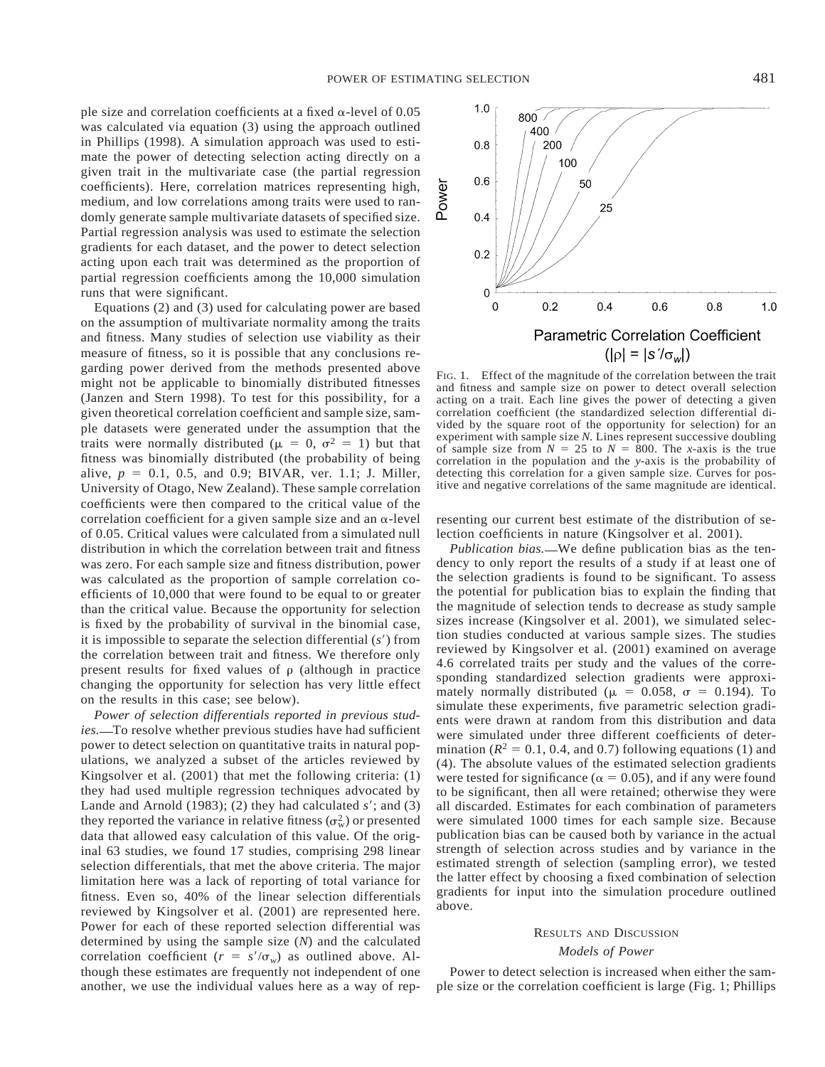ple size and correlation coefficients at a fixed  $\alpha$ -level of 0.05 was calculated via equation (3) using the approach outlined in Phillips (1998). A simulation approach was used to estimate the power of detecting selection acting directly on a given trait in the multivariate case (the partial regression coefficients). Here, correlation matrices representing high, medium, and low correlations among traits were used to randomly generate sample multivariate datasets of specified size. Partial regression analysis was used to estimate the selection gradients for each dataset, and the power to detect selection acting upon each trait was determined as the proportion of partial regression coefficients among the 10,000 simulation runs that were significant.

Equations (2) and (3) used for calculating power are based on the assumption of multivariate normality among the traits and fitness. Many studies of selection use viability as their measure of fitness, so it is possible that any conclusions regarding power derived from the methods presented above might not be applicable to binomially distributed fitnesses (Janzen and Stern 1998). To test for this possibility, for a given theoretical correlation coefficient and sample size, sample datasets were generated under the assumption that the traits were normally distributed ( $\mu = 0$ ,  $\sigma^2 = 1$ ) but that fitness was binomially distributed (the probability of being alive,  $p = 0.1$ , 0.5, and 0.9; BIVAR, ver. 1.1; J. Miller, University of Otago, New Zealand). These sample correlation coefficients were then compared to the critical value of the correlation coefficient for a given sample size and an  $\alpha$ -level of 0.05. Critical values were calculated from a simulated null distribution in which the correlation between trait and fitness was zero. For each sample size and fitness distribution, power was calculated as the proportion of sample correlation coefficients of 10,000 that were found to be equal to or greater than the critical value. Because the opportunity for selection is fixed by the probability of survival in the binomial case, it is impossible to separate the selection differential  $(s')$  from the correlation between trait and fitness. We therefore only present results for fixed values of  $\rho$  (although in practice changing the opportunity for selection has very little effect on the results in this case; see below).

*Power of selection differentials reported in previous stud*ies.-To resolve whether previous studies have had sufficient power to detect selection on quantitative traits in natural populations, we analyzed a subset of the articles reviewed by Kingsolver et al. (2001) that met the following criteria: (1) they had used multiple regression techniques advocated by Lande and Arnold (1983); (2) they had calculated  $s'$ ; and (3) they reported the variance in relative fitness  $(\sigma_w^2)$  or presented data that allowed easy calculation of this value. Of the original 63 studies, we found 17 studies, comprising 298 linear selection differentials, that met the above criteria. The major limitation here was a lack of reporting of total variance for fitness. Even so, 40% of the linear selection differentials reviewed by Kingsolver et al. (2001) are represented here. Power for each of these reported selection differential was determined by using the sample size (*N*) and the calculated correlation coefficient ( $r = s'/\sigma_w$ ) as outlined above. Although these estimates are frequently not independent of one another, we use the individual values here as a way of rep-



FIG. 1. Effect of the magnitude of the correlation between the trait and fitness and sample size on power to detect overall selection acting on a trait. Each line gives the power of detecting a given correlation coefficient (the standardized selection differential divided by the square root of the opportunity for selection) for an experiment with sample size *N.* Lines represent successive doubling of sample size from  $N = 25$  to  $N = 800$ . The *x*-axis is the true correlation in the population and the *y*-axis is the probability of detecting this correlation for a given sample size. Curves for positive and negative correlations of the same magnitude are identical.

resenting our current best estimate of the distribution of selection coefficients in nature (Kingsolver et al. 2001).

*Publication bias.* We define publication bias as the tendency to only report the results of a study if at least one of the selection gradients is found to be significant. To assess the potential for publication bias to explain the finding that the magnitude of selection tends to decrease as study sample sizes increase (Kingsolver et al. 2001), we simulated selection studies conducted at various sample sizes. The studies reviewed by Kingsolver et al. (2001) examined on average 4.6 correlated traits per study and the values of the corresponding standardized selection gradients were approximately normally distributed ( $\mu$  = 0.058,  $\sigma$  = 0.194). To simulate these experiments, five parametric selection gradients were drawn at random from this distribution and data were simulated under three different coefficients of determination ( $R^2 = 0.1$ , 0.4, and 0.7) following equations (1) and (4). The absolute values of the estimated selection gradients were tested for significance ( $\alpha = 0.05$ ), and if any were found to be significant, then all were retained; otherwise they were all discarded. Estimates for each combination of parameters were simulated 1000 times for each sample size. Because publication bias can be caused both by variance in the actual strength of selection across studies and by variance in the estimated strength of selection (sampling error), we tested the latter effect by choosing a fixed combination of selection gradients for input into the simulation procedure outlined above.

# RESULTS AND DISCUSSION *Models of Power*

Power to detect selection is increased when either the sample size or the correlation coefficient is large (Fig. 1; Phillips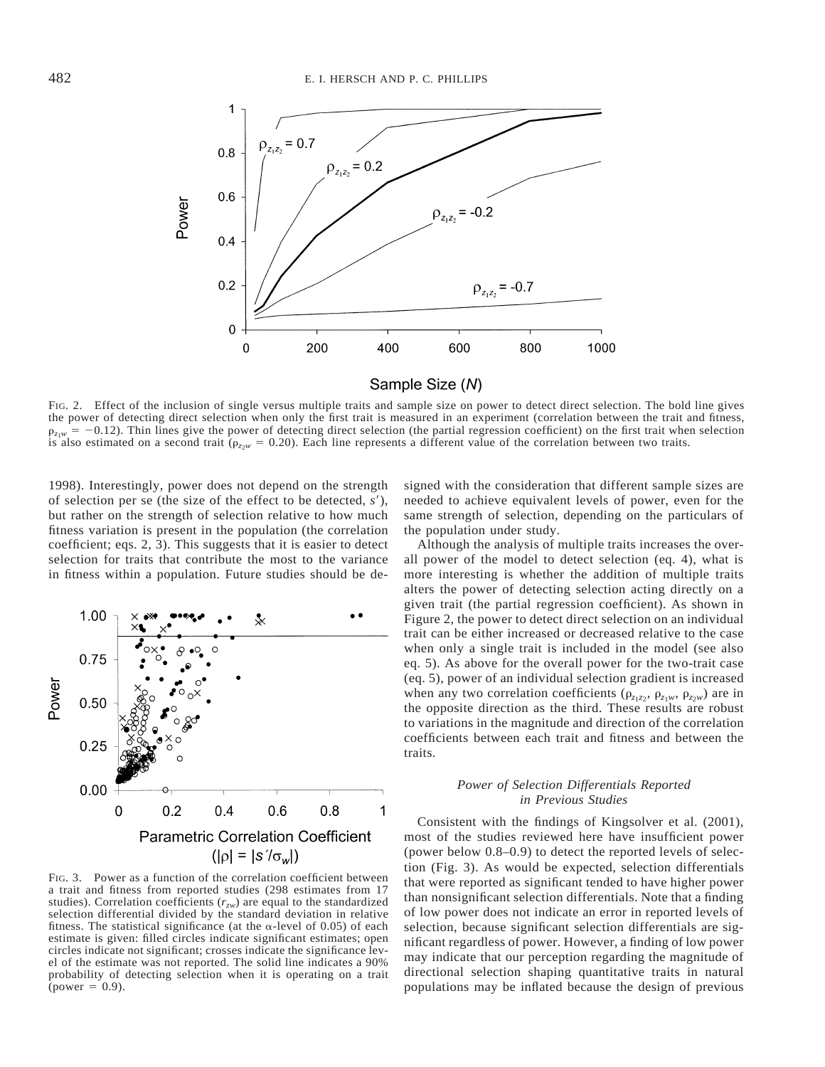

FIG. 2. Effect of the inclusion of single versus multiple traits and sample size on power to detect direct selection. The bold line gives the power of detecting direct selection when only the first trait is measured in an experiment (correlation between the trait and fitness,  $\rho_{z_1w} = -0.12$ ). Thin lines give the power of detecting direct selection (the partial regression coefficient) on the first trait when selection is also estimated on a second trait  $(\rho_{z2W} = 0.20)$ . Each line represents a different value of the correlation between two traits.

1998). Interestingly, power does not depend on the strength of selection per se (the size of the effect to be detected,  $s'$ ), but rather on the strength of selection relative to how much fitness variation is present in the population (the correlation coefficient; eqs. 2, 3). This suggests that it is easier to detect selection for traits that contribute the most to the variance in fitness within a population. Future studies should be de-



FIG. 3. Power as a function of the correlation coefficient between a trait and fitness from reported studies (298 estimates from 17 studies). Correlation coefficients  $(r_{zw})$  are equal to the standardized selection differential divided by the standard deviation in relative fitness. The statistical significance (at the  $\alpha$ -level of 0.05) of each estimate is given: filled circles indicate significant estimates; open circles indicate not significant; crosses indicate the significance level of the estimate was not reported. The solid line indicates a 90% probability of detecting selection when it is operating on a trait  $(power = 0.9)$ .

signed with the consideration that different sample sizes are needed to achieve equivalent levels of power, even for the same strength of selection, depending on the particulars of the population under study.

Although the analysis of multiple traits increases the overall power of the model to detect selection (eq. 4), what is more interesting is whether the addition of multiple traits alters the power of detecting selection acting directly on a given trait (the partial regression coefficient). As shown in Figure 2, the power to detect direct selection on an individual trait can be either increased or decreased relative to the case when only a single trait is included in the model (see also eq. 5). As above for the overall power for the two-trait case (eq. 5), power of an individual selection gradient is increased when any two correlation coefficients ( $\rho_{z_1z_2}$ ,  $\rho_{z_1w}$ ,  $\rho_{z_2w}$ ) are in the opposite direction as the third. These results are robust to variations in the magnitude and direction of the correlation coefficients between each trait and fitness and between the traits.

## *Power of Selection Differentials Reported in Previous Studies*

Consistent with the findings of Kingsolver et al. (2001), most of the studies reviewed here have insufficient power (power below 0.8–0.9) to detect the reported levels of selection (Fig. 3). As would be expected, selection differentials that were reported as significant tended to have higher power than nonsignificant selection differentials. Note that a finding of low power does not indicate an error in reported levels of selection, because significant selection differentials are significant regardless of power. However, a finding of low power may indicate that our perception regarding the magnitude of directional selection shaping quantitative traits in natural populations may be inflated because the design of previous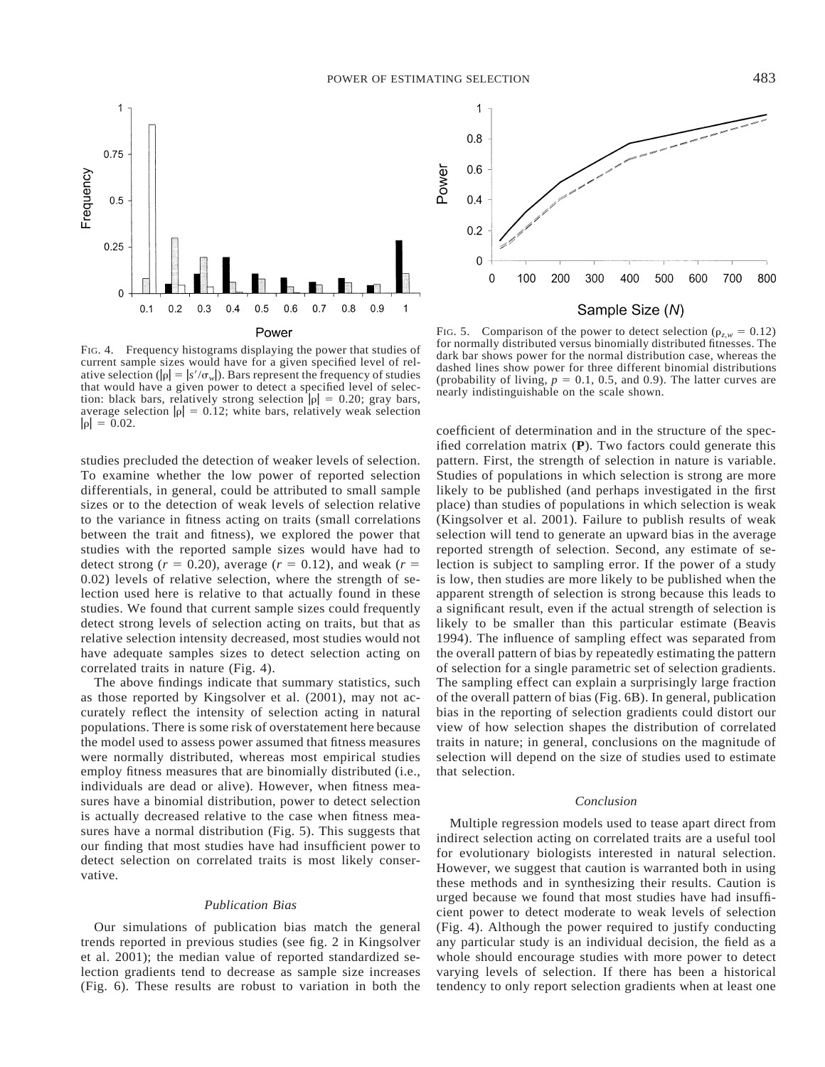

FIG. 4. Frequency histograms displaying the power that studies of current sample sizes would have for a given specified level of relative selection ( $|\rho| = |s'/\sigma_w|$ ). Bars represent the frequency of studies that would have a given power to detect a specified level of selection: black bars, relatively strong selection  $|\rho| = 0.20$ ; gray bars, average selection  $|\rho| = 0.12$ ; white bars, relatively weak selection  $|\rho| = 0.02$ .

studies precluded the detection of weaker levels of selection. To examine whether the low power of reported selection differentials, in general, could be attributed to small sample sizes or to the detection of weak levels of selection relative to the variance in fitness acting on traits (small correlations between the trait and fitness), we explored the power that studies with the reported sample sizes would have had to detect strong  $(r = 0.20)$ , average  $(r = 0.12)$ , and weak  $(r = 1.12)$ 0.02) levels of relative selection, where the strength of selection used here is relative to that actually found in these studies. We found that current sample sizes could frequently detect strong levels of selection acting on traits, but that as relative selection intensity decreased, most studies would not have adequate samples sizes to detect selection acting on correlated traits in nature (Fig. 4).

The above findings indicate that summary statistics, such as those reported by Kingsolver et al. (2001), may not accurately reflect the intensity of selection acting in natural populations. There is some risk of overstatement here because the model used to assess power assumed that fitness measures were normally distributed, whereas most empirical studies employ fitness measures that are binomially distributed (i.e., individuals are dead or alive). However, when fitness measures have a binomial distribution, power to detect selection is actually decreased relative to the case when fitness measures have a normal distribution (Fig. 5). This suggests that our finding that most studies have had insufficient power to detect selection on correlated traits is most likely conservative.

### *Publication Bias*

Our simulations of publication bias match the general trends reported in previous studies (see fig. 2 in Kingsolver et al. 2001); the median value of reported standardized selection gradients tend to decrease as sample size increases (Fig. 6). These results are robust to variation in both the



FIG. 5. Comparison of the power to detect selection ( $\rho_{z,w} = 0.12$ ) for normally distributed versus binomially distributed fitnesses. The dark bar shows power for the normal distribution case, whereas the dashed lines show power for three different binomial distributions (probability of living,  $p = 0.1$ , 0.5, and 0.9). The latter curves are nearly indistinguishable on the scale shown.

coefficient of determination and in the structure of the specified correlation matrix (**P**). Two factors could generate this pattern. First, the strength of selection in nature is variable. Studies of populations in which selection is strong are more likely to be published (and perhaps investigated in the first place) than studies of populations in which selection is weak (Kingsolver et al. 2001). Failure to publish results of weak selection will tend to generate an upward bias in the average reported strength of selection. Second, any estimate of selection is subject to sampling error. If the power of a study is low, then studies are more likely to be published when the apparent strength of selection is strong because this leads to a significant result, even if the actual strength of selection is likely to be smaller than this particular estimate (Beavis 1994). The influence of sampling effect was separated from the overall pattern of bias by repeatedly estimating the pattern of selection for a single parametric set of selection gradients. The sampling effect can explain a surprisingly large fraction of the overall pattern of bias (Fig. 6B). In general, publication bias in the reporting of selection gradients could distort our view of how selection shapes the distribution of correlated traits in nature; in general, conclusions on the magnitude of selection will depend on the size of studies used to estimate that selection.

## *Conclusion*

Multiple regression models used to tease apart direct from indirect selection acting on correlated traits are a useful tool for evolutionary biologists interested in natural selection. However, we suggest that caution is warranted both in using these methods and in synthesizing their results. Caution is urged because we found that most studies have had insufficient power to detect moderate to weak levels of selection (Fig. 4). Although the power required to justify conducting any particular study is an individual decision, the field as a whole should encourage studies with more power to detect varying levels of selection. If there has been a historical tendency to only report selection gradients when at least one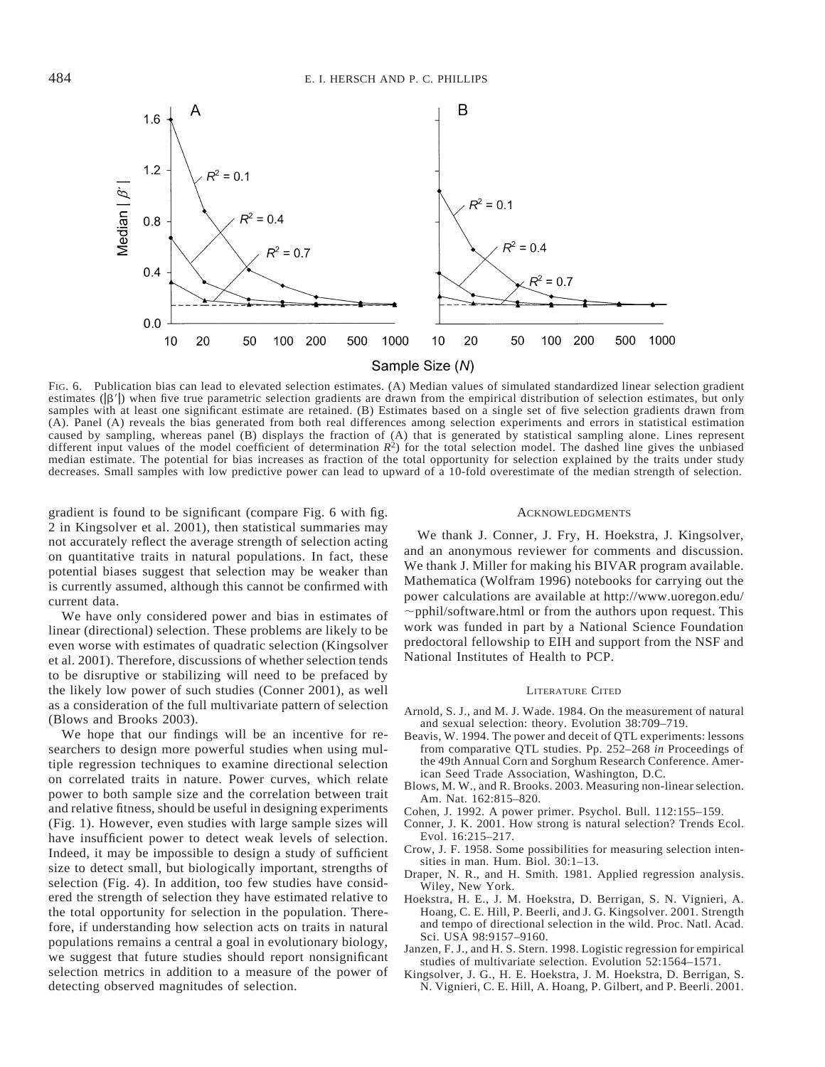

FIG. 6. Publication bias can lead to elevated selection estimates. (A) Median values of simulated standardized linear selection gradient estimates  $(|\beta'|)$  when five true parametric selection gradients are drawn from the empirical distribution of selection estimates, but only samples with at least one significant estimate are retained. (B) Estimates based on a single set of five selection gradients drawn from (A). Panel (A) reveals the bias generated from both real differences among selection experiments and errors in statistical estimation caused by sampling, whereas panel (B) displays the fraction of (A) that is generated by statistical sampling alone. Lines represent different input values of the model coefficient of determination  $R^2$ ) for the total selection model. The dashed line gives the unbiased median estimate. The potential for bias increases as fraction of the total opportunity for selection explained by the traits under study decreases. Small samples with low predictive power can lead to upward of a 10-fold overestimate of the median strength of selection.

gradient is found to be significant (compare Fig. 6 with fig. 2 in Kingsolver et al. 2001), then statistical summaries may not accurately reflect the average strength of selection acting on quantitative traits in natural populations. In fact, these potential biases suggest that selection may be weaker than is currently assumed, although this cannot be confirmed with current data.

We have only considered power and bias in estimates of linear (directional) selection. These problems are likely to be even worse with estimates of quadratic selection (Kingsolver et al. 2001). Therefore, discussions of whether selection tends to be disruptive or stabilizing will need to be prefaced by the likely low power of such studies (Conner 2001), as well as a consideration of the full multivariate pattern of selection (Blows and Brooks 2003).

We hope that our findings will be an incentive for researchers to design more powerful studies when using multiple regression techniques to examine directional selection on correlated traits in nature. Power curves, which relate power to both sample size and the correlation between trait and relative fitness, should be useful in designing experiments (Fig. 1). However, even studies with large sample sizes will have insufficient power to detect weak levels of selection. Indeed, it may be impossible to design a study of sufficient size to detect small, but biologically important, strengths of selection (Fig. 4). In addition, too few studies have considered the strength of selection they have estimated relative to the total opportunity for selection in the population. Therefore, if understanding how selection acts on traits in natural populations remains a central a goal in evolutionary biology, we suggest that future studies should report nonsignificant selection metrics in addition to a measure of the power of detecting observed magnitudes of selection.

### **ACKNOWLEDGMENTS**

We thank J. Conner, J. Fry, H. Hoekstra, J. Kingsolver, and an anonymous reviewer for comments and discussion. We thank J. Miller for making his BIVAR program available. Mathematica (Wolfram 1996) notebooks for carrying out the power calculations are available at http://www.uoregon.edu/  $\sim$ pphil/software.html or from the authors upon request. This work was funded in part by a National Science Foundation predoctoral fellowship to EIH and support from the NSF and National Institutes of Health to PCP.

#### LITERATURE CITED

- Arnold, S. J., and M. J. Wade. 1984. On the measurement of natural and sexual selection: theory. Evolution 38:709–719.
- Beavis, W. 1994. The power and deceit of QTL experiments: lessons from comparative QTL studies. Pp. 252–268 *in* Proceedings of the 49th Annual Corn and Sorghum Research Conference. American Seed Trade Association, Washington, D.C.
- Blows, M. W., and R. Brooks. 2003. Measuring non-linear selection. Am. Nat. 162:815–820.
- Cohen, J. 1992. A power primer. Psychol. Bull. 112:155–159.
- Conner, J. K. 2001. How strong is natural selection? Trends Ecol. Evol. 16:215–217.
- Crow, J. F. 1958. Some possibilities for measuring selection intensities in man. Hum. Biol. 30:1–13.
- Draper, N. R., and H. Smith. 1981. Applied regression analysis. Wiley, New York.
- Hoekstra, H. E., J. M. Hoekstra, D. Berrigan, S. N. Vignieri, A. Hoang, C. E. Hill, P. Beerli, and J. G. Kingsolver. 2001. Strength and tempo of directional selection in the wild. Proc. Natl. Acad. Sci. USA 98:9157–9160.
- Janzen, F. J., and H. S. Stern. 1998. Logistic regression for empirical studies of multivariate selection. Evolution 52:1564–1571.
- Kingsolver, J. G., H. E. Hoekstra, J. M. Hoekstra, D. Berrigan, S. N. Vignieri, C. E. Hill, A. Hoang, P. Gilbert, and P. Beerli. 2001.